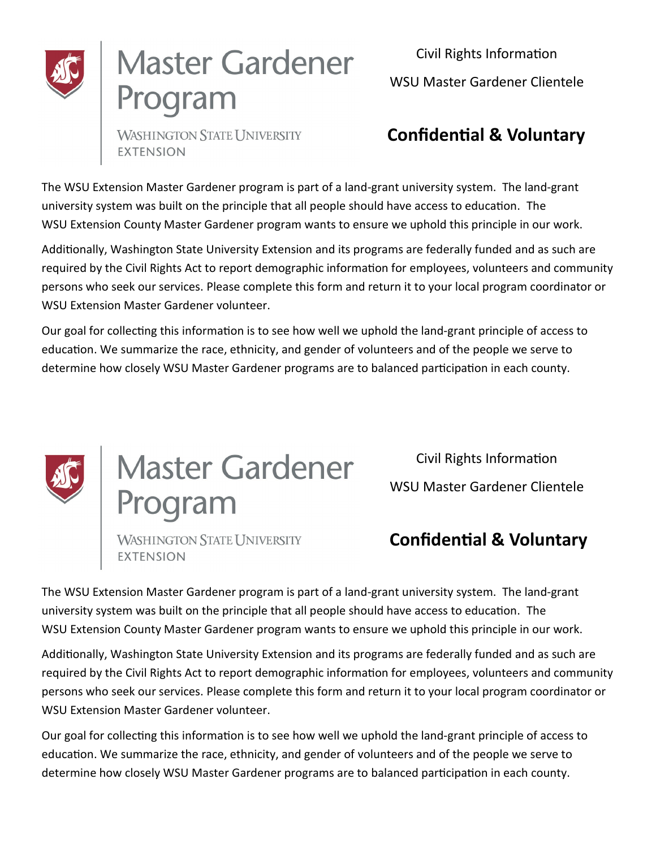

Civil Rights Information

WSU Master Gardener Clientele

**Confidential & Voluntary**

**WASHINGTON STATE UNIVERSITY EXTENSION** 

The WSU Extension Master Gardener program is part of a land-grant university system. The land-grant university system was built on the principle that all people should have access to education. The WSU Extension County Master Gardener program wants to ensure we uphold this principle in our work.

Additionally, Washington State University Extension and its programs are federally funded and as such are required by the Civil Rights Act to report demographic information for employees, volunteers and community persons who seek our services. Please complete this form and return it to your local program coordinator or WSU Extension Master Gardener volunteer.

Our goal for collecting this information is to see how well we uphold the land-grant principle of access to education. We summarize the race, ethnicity, and gender of volunteers and of the people we serve to determine how closely WSU Master Gardener programs are to balanced participation in each county.



## **Master Gardener** rogram

Civil Rights Information WSU Master Gardener Clientele

## **WASHINGTON STATE UNIVERSITY EXTENSION**

**Confidential & Voluntary**

The WSU Extension Master Gardener program is part of a land-grant university system. The land-grant university system was built on the principle that all people should have access to education. The WSU Extension County Master Gardener program wants to ensure we uphold this principle in our work.

Additionally, Washington State University Extension and its programs are federally funded and as such are required by the Civil Rights Act to report demographic information for employees, volunteers and community persons who seek our services. Please complete this form and return it to your local program coordinator or WSU Extension Master Gardener volunteer.

Our goal for collecting this information is to see how well we uphold the land-grant principle of access to education. We summarize the race, ethnicity, and gender of volunteers and of the people we serve to determine how closely WSU Master Gardener programs are to balanced participation in each county.